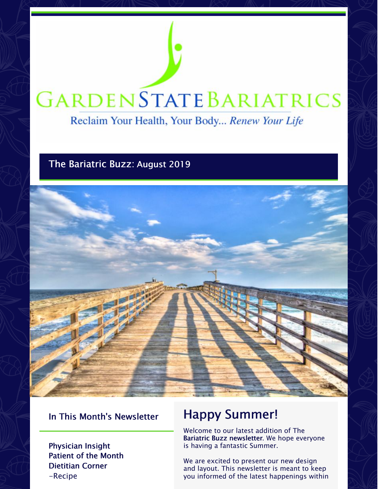# **GARDENSTATEBARIATRICS**

Reclaim Your Health, Your Body... Renew Your Life

# The Bariatric Buzz: August 2019



# In This Month's Newsletter

Physician Insight Patient of the Month Dietitian Corner -Recipe

# Happy Summer!

Welcome to our latest addition of The Bariatric Buzz newsletter. We hope everyone is having a fantastic Summer.

We are excited to present our new design and layout. This newsletter is meant to keep you informed of the latest happenings within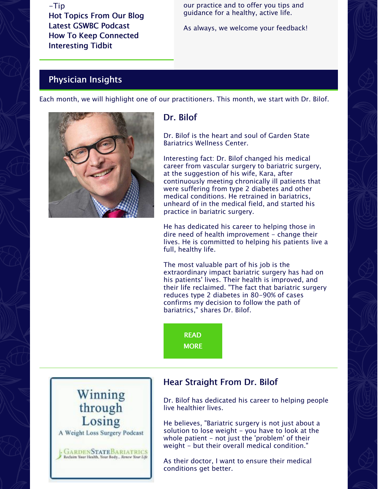# -Tip Hot Topics From Our Blog Latest GSWBC Podcast How To Keep Connected Interesting Tidbit

our practice and to offer you tips and guidance for a healthy, active life.

As always, we welcome your feedback!

# Physician Insights

Each month, we will highlight one of our practitioners. This month, we start with Dr. Bilof.



# Dr. Bilof

Dr. Bilof is the heart and soul of Garden State Bariatrics Wellness Center.

Interesting fact: Dr. Bilof changed his medical career from vascular surgery to bariatric surgery, at the suggestion of his wife, Kara, after continuously meeting chronically ill patients that were suffering from type 2 diabetes and other medical conditions. He retrained in bariatrics, unheard of in the medical field, and started his practice in bariatric surgery.

He has dedicated his career to helping those in dire need of health improvement - change their lives. He is committed to helping his patients live a full, healthy life.

The most valuable part of his job is the extraordinary impact bariatric surgery has had on his patients' lives. Their health is improved, and their life reclaimed. "The fact that bariatric surgery reduces type 2 diabetes in 80-90% of cases confirms my decision to follow the path of bariatrics," shares Dr. Bilof.

READ **[MORE](https://gsbwc.com/garden-state-bariatrics-wellness-center/about-us/dr-michael-bilof/)** 



# Hear Straight From Dr. Bilof

Dr. Bilof has dedicated his career to helping people live healthier lives.

He believes, "Bariatric surgery is not just about a solution to lose weight  $-$  you have to look at the whole patient  $-$  not just the 'problem' of their weight - but their overall medical condition."

As their doctor, I want to ensure their medical conditions get better.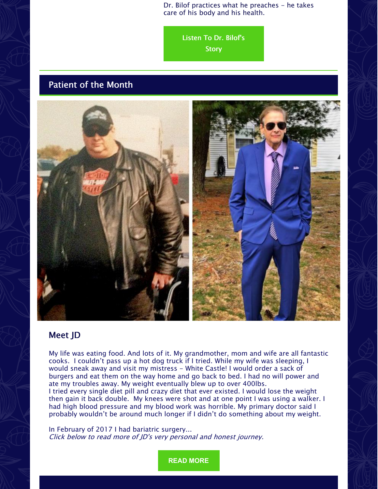Dr. Bilof practices what he preaches - he takes care of his body and his health.

Listen To Dr. [Bilof's](https://gsbwc.com/garden-state-bariatrics-wellness-center/podcast)

**Story** 

# Patient of the Month



# Meet JD

My life was eating food. And lots of it. My grandmother, mom and wife are all fantastic cooks. I couldn't pass up a hot dog truck if I tried. While my wife was sleeping, I would sneak away and visit my mistress - White Castle! I would order a sack of burgers and eat them on the way home and go back to bed. I had no will power and ate my troubles away. My weight eventually blew up to over 400lbs.

I tried every single diet pill and crazy diet that ever existed. I would lose the weight then gain it back double. My knees were shot and at one point I was using a walker. I had high blood pressure and my blood work was horrible. My primary doctor said I probably wouldn't be around much longer if I didn't do something about my weight.

In February of 2017 I had bariatric surgery... Click below to read more of JD's very personal and honest journey.

**READ [MORE](https://gsbwc.com/garden-state-bariatrics-wellness-center/change/patient-of-the-month/august-2019-patient-of-the-month)**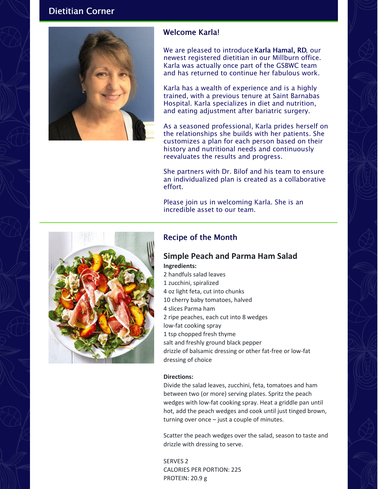# Dietitian Corner



#### Welcome Karla!

We are pleased to introduce Karla Hamal, RD, our newest registered dietitian in our Millburn office. Karla was actually once part of the GSBWC team and has returned to continue her fabulous work.

Karla has a wealth of experience and is a highly trained, with a previous tenure at Saint Barnabas Hospital. Karla specializes in diet and nutrition, and eating adjustment after bariatric surgery.

As a seasoned professional, Karla prides herself on the relationships she builds with her patients. She customizes a plan for each person based on their history and nutritional needs and continuously reevaluates the results and progress.

She partners with Dr. Bilof and his team to ensure an individualized plan is created as a collaborative effort.

Please join us in welcoming Karla. She is an incredible asset to our team.



# Recipe of the Month

#### **Simple Peach and Parma Ham Salad Ingredients:**

 handfuls salad leaves zucchini, spiralized oz light feta, cut into chunks cherry baby tomatoes, halved slices Parma ham ripe peaches, each cut into 8 wedges low-fat cooking spray tsp chopped fresh thyme salt and freshly ground black pepper drizzle of balsamic dressing or other fat-free or low-fat dressing of choice

#### **Directions:**

Divide the salad leaves, zucchini, feta, tomatoes and ham between two (or more) serving plates. Spritz the peach wedges with low-fat cooking spray. Heat a griddle pan until hot, add the peach wedges and cook until just tinged brown, turning over once – just a couple of minutes.

Scatter the peach wedges over the salad, season to taste and drizzle with dressing to serve.

SERVES 2 CALORIES PER PORTION: 225 PROTEIN: 20.9 g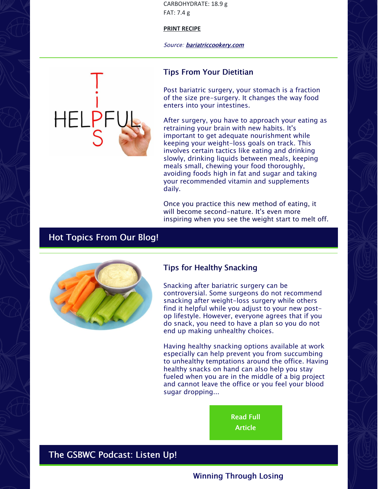CARBOHYDRATE: 18.9 g FAT: 7.4 g

#### **PRINT [RECIPE](https://files.constantcontact.com/4c58572a001/b94fce8e-484d-45e0-8866-8944a5385d2f.pdf)**

Source: [bariatriccookery.com](https://www.bariatriccookery.com)

#### Tips From Your Dietitian

Post bariatric surgery, your stomach is a fraction of the size pre-surgery. It changes the way food enters into your intestines.

After surgery, you have to approach your eating as retraining your brain with new habits. It's important to get adequate nourishment while keeping your weight-loss goals on track. This involves certain tactics like eating and drinking slowly, drinking liquids between meals, keeping meals small, chewing your food thoroughly, avoiding foods high in fat and sugar and taking your recommended vitamin and supplements daily.

Once you practice this new method of eating, it will become second-nature. It's even more inspiring when you see the weight start to melt off.

### Hot Topics From Our Blog!



#### Tips for Healthy Snacking

Snacking after bariatric surgery can be controversial. Some surgeons do not recommend snacking after weight-loss surgery while others find it helpful while you adjust to your new postop lifestyle. However, everyone agrees that if you do snack, you need to have a plan so you do not end up making unhealthy choices.

Having healthy snacking options available at work especially can help prevent you from succumbing to unhealthy temptations around the office. Having healthy snacks on hand can also help you stay fueled when you are in the middle of a big project and cannot leave the office or you feel your blood sugar dropping...

> Read Full [Article](https://gsbwc.com/garden-state-bariatrics-wellness-center/news-blog/blogs/tips-for-healthy-snacking-at-work)

# The GSBWC Podcast: Listen Up!

#### Winning Through Losing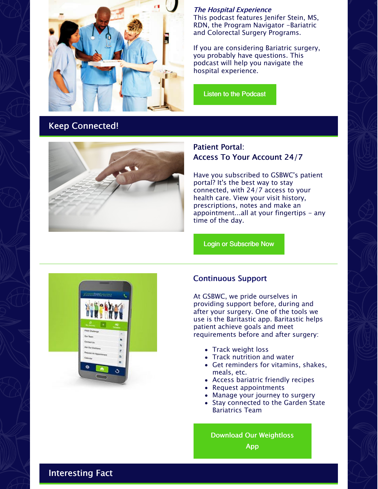

The Hospital Experience This podcast features Jenifer Stein, MS, RDN, the Program Navigator -Bariatric and Colorectal Surgery Programs.

If you are considering Bariatric surgery, you probably have questions. This podcast will help you navigate the hospital experience.

Listen to the [Podcast](https://gsbwc.com/garden-state-bariatrics-wellness-center/podcast)

# Keep Connected!



#### Patient Portal: Access To Your Account 24/7

Have you subscribed to GSBWC's patient portal? It's the best way to stay connected, with 24/7 access to your health care. View your visit history, prescriptions, notes and make an appointment...all at your fingertips - any time of the day.

Login or [Subscribe](https://patientportal.advancedmd.com/account/confirm?token=7672B4DF3E0B4DF29A12B26ACDD1DEF7&lk=139375) Now



#### Continuous Support

At GSBWC, we pride ourselves in providing support before, during and after your surgery. One of the tools we use is the Baritastic app. Baritastic helps patient achieve goals and meet requirements before and after surgery:

- Track weight loss
- Track nutrition and water
- Get reminders for vitamins, shakes, meals, etc.
- Access bariatric friendly recipes
- Request appointments
- Manage your journey to surgery
- Stay connected to the Garden State Bariatrics Team

Download Our [Weightloss](https://gsbwc.com/garden-state-bariatrics-wellness-center/resources/weight-loss-surgery-app/) App

Interesting Fact